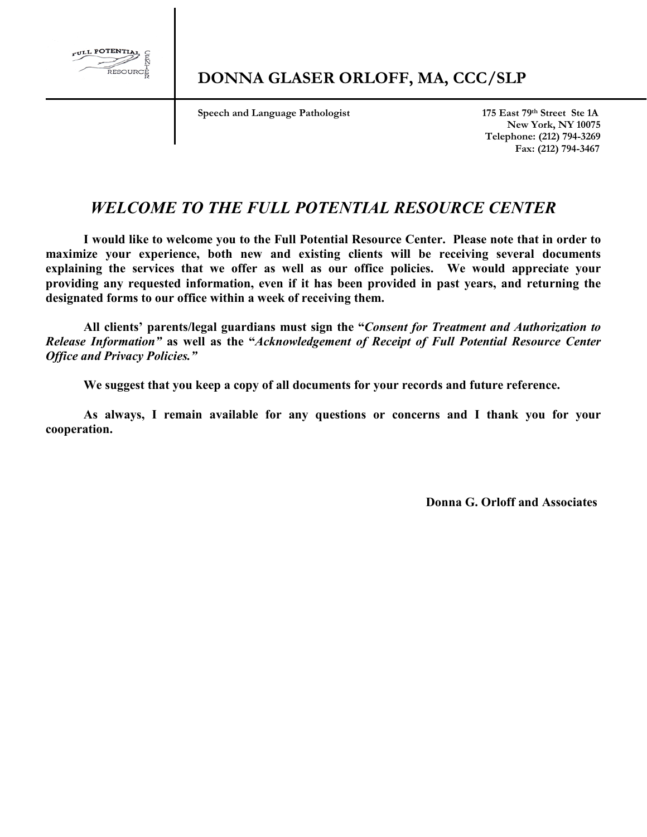

 **Speech and Language Pathologist** 175 East 79th Street Ste 1A

 **New York, NY 10075 Telephone: (212) 794-3269 Fax: (212) 794-3467**

### *WELCOME TO THE FULL POTENTIAL RESOURCE CENTER*

**I would like to welcome you to the Full Potential Resource Center. Please note that in order to maximize your experience, both new and existing clients will be receiving several documents explaining the services that we offer as well as our office policies. We would appreciate your providing any requested information, even if it has been provided in past years, and returning the designated forms to our office within a week of receiving them.**

**All clients' parents/legal guardians must sign the "***Consent for Treatment and Authorization to Release Information"* **as well as the "***Acknowledgement of Receipt of Full Potential Resource Center Office and Privacy Policies."*

**We suggest that you keep a copy of all documents for your records and future reference.**

**As always, I remain available for any questions or concerns and I thank you for your cooperation.** 

 **Donna G. Orloff and Associates**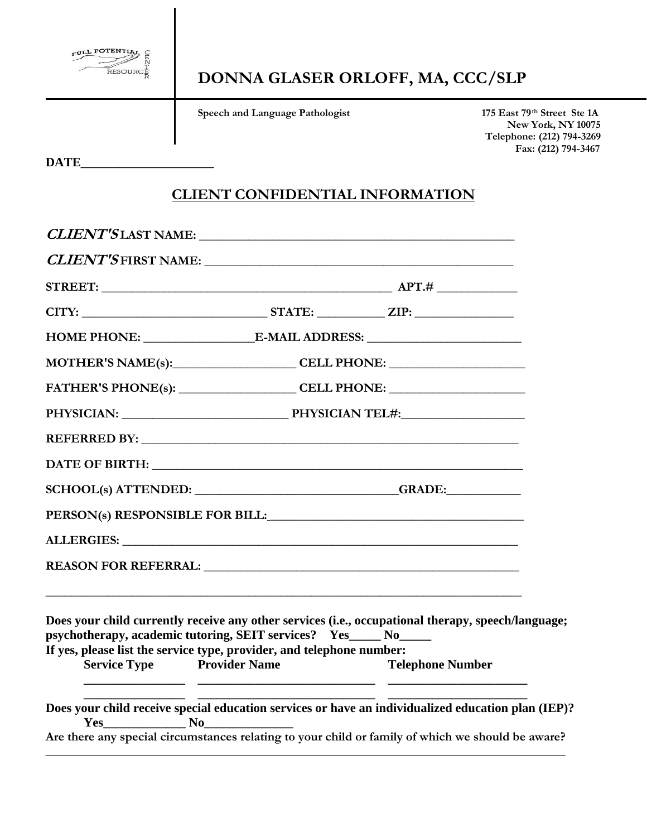

**Speech and Language Pathologist** 175 East 79<sup>th</sup> Street Ste 1A

 **New York, NY 10075 Telephone: (212) 794-3269 Fax: (212) 794-3467**

**DATE\_\_\_\_\_\_\_\_\_\_\_\_\_\_\_\_\_\_\_\_\_**

#### **CLIENT CONFIDENTIAL INFORMATION**

|                                                                                              |                      | MOTHER'S NAME(s): CELL PHONE:                                                                      |  |
|----------------------------------------------------------------------------------------------|----------------------|----------------------------------------------------------------------------------------------------|--|
|                                                                                              |                      | FATHER'S PHONE(s): _____________________CELL PHONE: ____________________________                   |  |
|                                                                                              |                      |                                                                                                    |  |
|                                                                                              |                      |                                                                                                    |  |
|                                                                                              |                      |                                                                                                    |  |
|                                                                                              |                      |                                                                                                    |  |
|                                                                                              |                      | PERSON(s) RESPONSIBLE FOR BILL: VALUE AND THE RESPONSIBLE FOR BILL:                                |  |
|                                                                                              |                      |                                                                                                    |  |
|                                                                                              |                      |                                                                                                    |  |
|                                                                                              |                      |                                                                                                    |  |
| psychotherapy, academic tutoring, SEIT services? Yes_____ No_____                            |                      | Does your child currently receive any other services (i.e., occupational therapy, speech/language; |  |
| If yes, please list the service type, provider, and telephone number:<br><b>Service Type</b> | <b>Provider Name</b> | <b>Telephone Number</b>                                                                            |  |
|                                                                                              |                      |                                                                                                    |  |
|                                                                                              |                      | Does your child receive special education services or have an individualized education plan (IEP)? |  |
|                                                                                              |                      | Are there any special circumstances relating to your child or family of which we should be aware?  |  |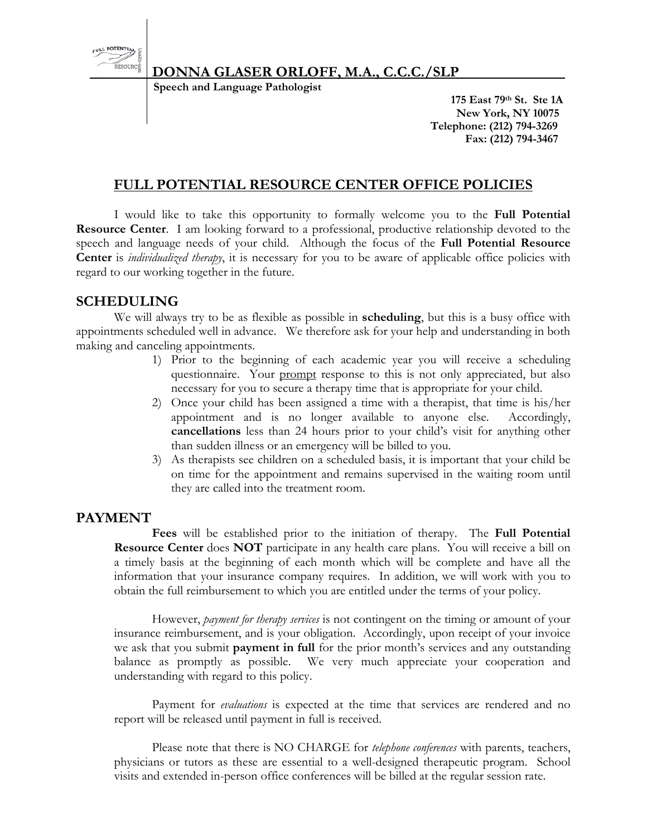

# **DONNA GLASER ORLOFF, M.A., C.C.C./SLP**<br>Speech and Language Pathologist

 **175 East 79th St. Ste 1A New York, NY 10075 Telephone: (212) 794-3269 Fax: (212) 794-3467**

#### **FULL POTENTIAL RESOURCE CENTER OFFICE POLICIES**

I would like to take this opportunity to formally welcome you to the **Full Potential Resource Center**. I am looking forward to a professional, productive relationship devoted to the speech and language needs of your child. Although the focus of the **Full Potential Resource Center** is *individualized therapy*, it is necessary for you to be aware of applicable office policies with regard to our working together in the future.

#### **SCHEDULING**

We will always try to be as flexible as possible in **scheduling**, but this is a busy office with appointments scheduled well in advance. We therefore ask for your help and understanding in both making and canceling appointments.

- 1) Prior to the beginning of each academic year you will receive a scheduling questionnaire. Your prompt response to this is not only appreciated, but also necessary for you to secure a therapy time that is appropriate for your child.
- 2) Once your child has been assigned a time with a therapist, that time is his/her appointment and is no longer available to anyone else. Accordingly, **cancellations** less than 24 hours prior to your child's visit for anything other than sudden illness or an emergency will be billed to you.
- 3) As therapists see children on a scheduled basis, it is important that your child be on time for the appointment and remains supervised in the waiting room until they are called into the treatment room.

#### **PAYMENT**

**Fees** will be established prior to the initiation of therapy. The **Full Potential Resource Center** does **NOT** participate in any health care plans. You will receive a bill on a timely basis at the beginning of each month which will be complete and have all the information that your insurance company requires. In addition, we will work with you to obtain the full reimbursement to which you are entitled under the terms of your policy.

However, *payment for therapy services* is not contingent on the timing or amount of your insurance reimbursement, and is your obligation. Accordingly, upon receipt of your invoice we ask that you submit **payment in full** for the prior month's services and any outstanding balance as promptly as possible. We very much appreciate your cooperation and understanding with regard to this policy.

Payment for *evaluations* is expected at the time that services are rendered and no report will be released until payment in full is received.

Please note that there is NO CHARGE for *telephone conferences* with parents, teachers, physicians or tutors as these are essential to a well-designed therapeutic program. School visits and extended in-person office conferences will be billed at the regular session rate.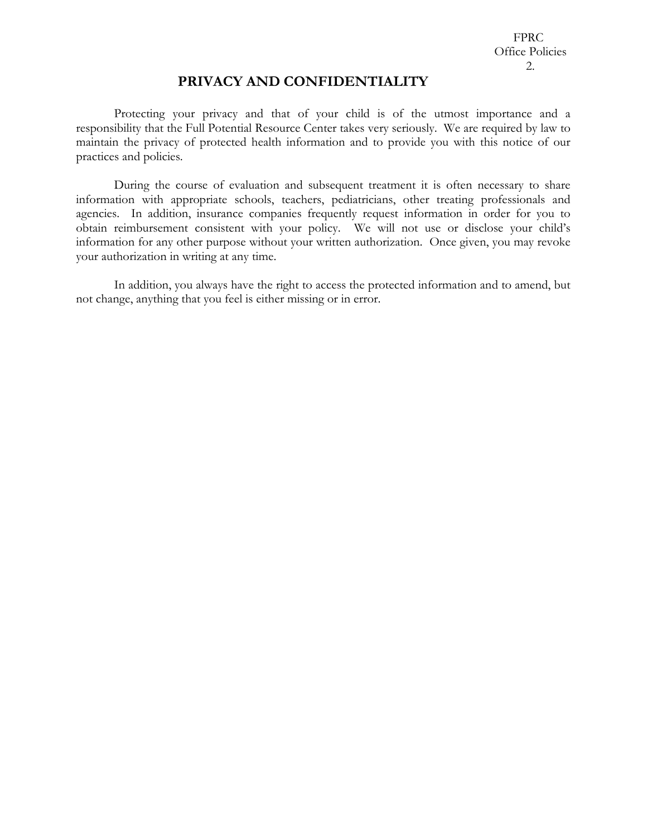#### **PRIVACY AND CONFIDENTIALITY**

Protecting your privacy and that of your child is of the utmost importance and a responsibility that the Full Potential Resource Center takes very seriously. We are required by law to maintain the privacy of protected health information and to provide you with this notice of our practices and policies.

During the course of evaluation and subsequent treatment it is often necessary to share information with appropriate schools, teachers, pediatricians, other treating professionals and agencies. In addition, insurance companies frequently request information in order for you to obtain reimbursement consistent with your policy. We will not use or disclose your child's information for any other purpose without your written authorization. Once given, you may revoke your authorization in writing at any time.

In addition, you always have the right to access the protected information and to amend, but not change, anything that you feel is either missing or in error.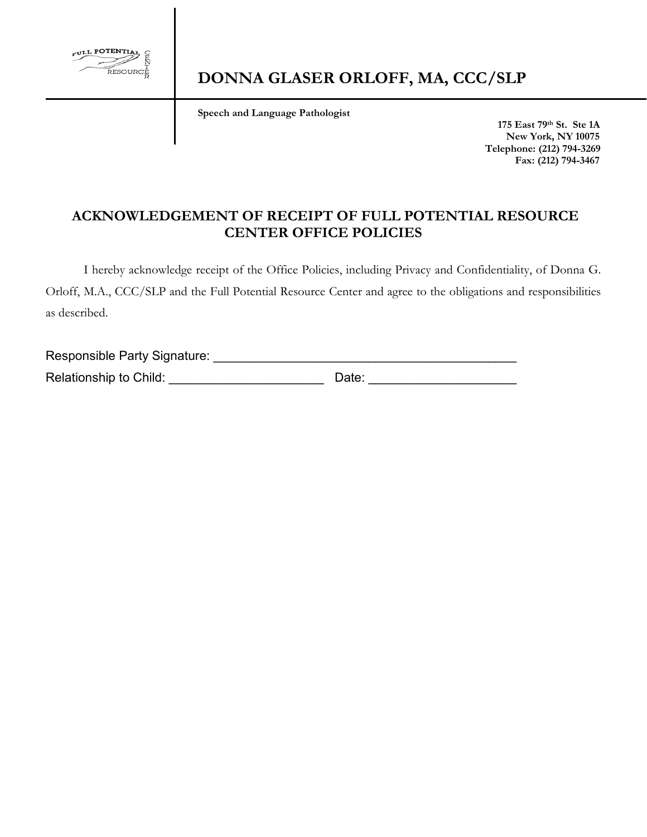

 **Speech and Language Pathologist** 

 **175 East 79th St. Ste 1A New York, NY 10075 Telephone: (212) 794-3269 Fax: (212) 794-3467**

#### **ACKNOWLEDGEMENT OF RECEIPT OF FULL POTENTIAL RESOURCE CENTER OFFICE POLICIES**

I hereby acknowledge receipt of the Office Policies, including Privacy and Confidentiality, of Donna G. Orloff, M.A., CCC/SLP and the Full Potential Resource Center and agree to the obligations and responsibilities as described.

Responsible Party Signature: \_\_\_\_\_\_\_\_\_\_\_\_\_\_\_\_\_\_\_\_\_\_\_\_\_\_\_\_\_\_\_\_\_\_\_\_\_\_\_\_\_\_\_ Relationship to Child: \_\_\_\_\_\_\_\_\_\_\_\_\_\_\_\_\_\_\_\_\_\_ Date: \_\_\_\_\_\_\_\_\_\_\_\_\_\_\_\_\_\_\_\_\_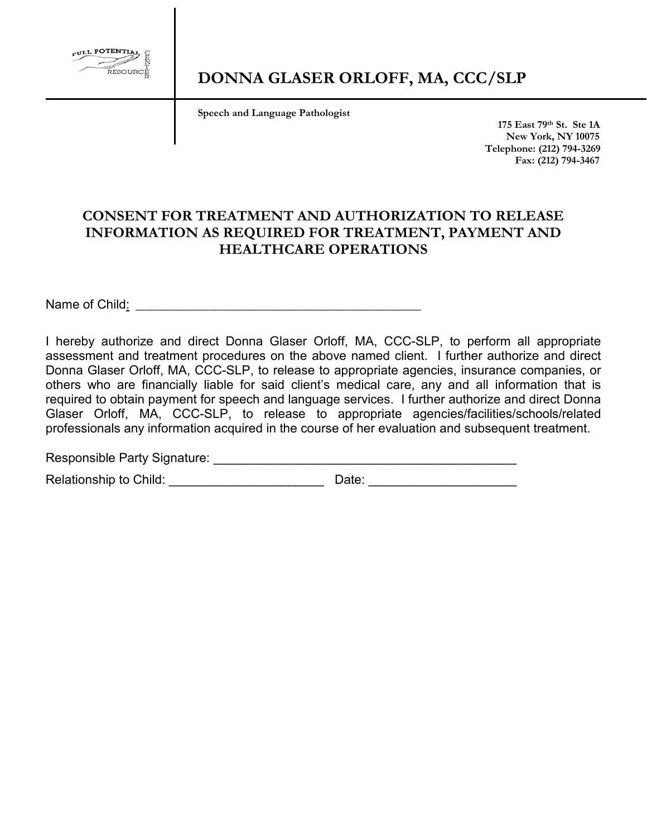

 **Speech and Language Pathologist** 

 **175 East 79th St. Ste 1A New York, NY 10075 Telephone: (212) 794-3269 Fax: (212) 794-3467**

#### **CONSENT FOR TREATMENT AND AUTHORIZATION TO RELEASE INFORMATION AS REQUIRED FOR TREATMENT, PAYMENT AND HEALTHCARE OPERATIONS**

Name of Child: **Washington** and the set of  $\alpha$  and  $\alpha$  and  $\alpha$  and  $\alpha$  and  $\alpha$  and  $\alpha$  and  $\alpha$  and  $\alpha$  and  $\alpha$  and  $\alpha$  and  $\alpha$  and  $\alpha$  and  $\alpha$  and  $\alpha$  and  $\alpha$  and  $\alpha$  and  $\alpha$  and  $\alpha$  and  $\alpha$  and  $\alpha$  and

I hereby authorize and direct Donna Glaser Orloff, MA, CCC-SLP, to perform all appropriate assessment and treatment procedures on the above named client. I further authorize and direct Donna Glaser Orloff, MA, CCC-SLP, to release to appropriate agencies, insurance companies, or others who are financially liable for said client's medical care, any and all information that is required to obtain payment for speech and language services. I further authorize and direct Donna Glaser Orloff, MA, CCC-SLP, to release to appropriate agencies/facilities/schools/related professionals any information acquired in the course of her evaluation and subsequent treatment.

Responsible Party Signature: \_\_\_\_\_\_\_\_\_\_\_\_\_\_\_\_\_\_\_\_\_\_\_\_\_\_\_\_\_\_\_\_\_\_\_\_\_\_\_\_\_\_\_

Relationship to Child: \_\_\_\_\_\_\_\_\_\_\_\_\_\_\_\_\_\_\_\_\_\_ Date: \_\_\_\_\_\_\_\_\_\_\_\_\_\_\_\_\_\_\_\_\_